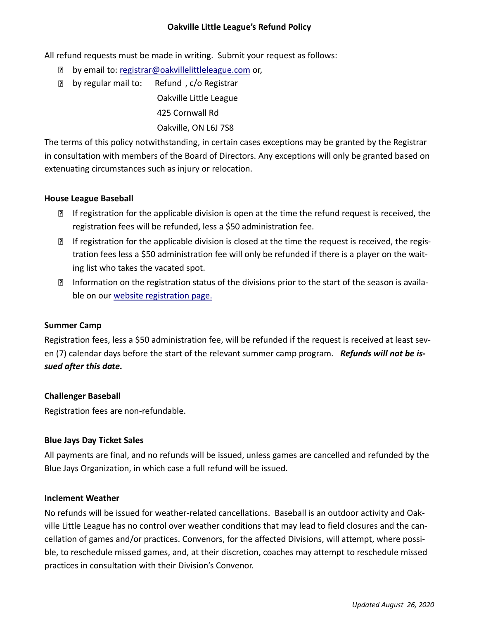## **Oakville Little League's Refund Policy**

All refund requests must be made in writing. Submit your request as follows:

- **D** by email to: [registrar@oakvillelittleleague.com](mailto:registrar@oakvillelittleleague.com) or,
- **D** by regular mail to: Refund, c/o Registrar Oakville Little League 425 Cornwall Rd Oakville, ON L6J 7S8

The terms of this policy notwithstanding, in certain cases exceptions may be granted by the Registrar in consultation with members of the Board of Directors. Any exceptions will only be granted based on extenuating circumstances such as injury or relocation.

## **House League Baseball**

- $\mathbb D$  If registration for the applicable division is open at the time the refund request is received, the registration fees will be refunded, less a \$50 administration fee.
- **If registration for the applicable division is closed at the time the request is received, the regis**tration fees less a \$50 administration fee will only be refunded if there is a player on the waiting list who takes the vacated spot.
- Information on the registration status of the divisions prior to the start of the season is available on our [website registration page.](https://oakvillelittleleague.com/?page_id=77)

### **Summer Camp**

Registration fees, less a \$50 administration fee, will be refunded if the request is received at least seven (7) calendar days before the start of the relevant summer camp program. *Refunds will not be issued after this date.*

# **Challenger Baseball**

Registration fees are non-refundable.

### **Blue Jays Day Ticket Sales**

All payments are final, and no refunds will be issued, unless games are cancelled and refunded by the Blue Jays Organization, in which case a full refund will be issued.

### **Inclement Weather**

No refunds will be issued for weather-related cancellations. Baseball is an outdoor activity and Oakville Little League has no control over weather conditions that may lead to field closures and the cancellation of games and/or practices. Convenors, for the affected Divisions, will attempt, where possible, to reschedule missed games, and, at their discretion, coaches may attempt to reschedule missed practices in consultation with their Division's Convenor.